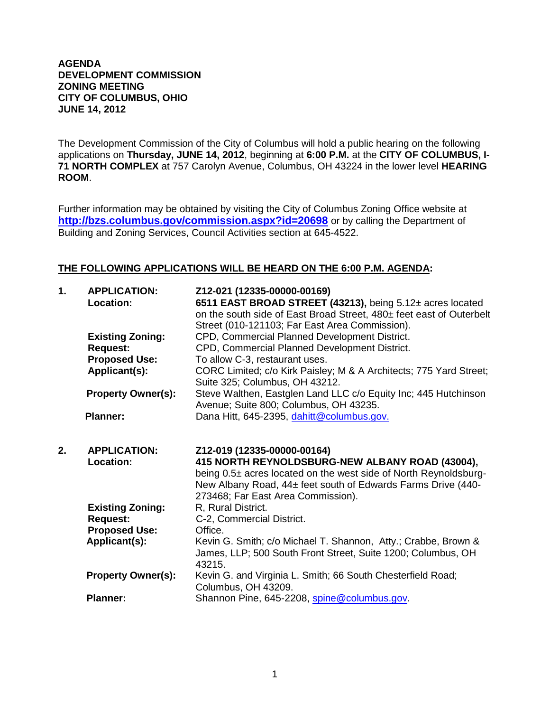## **AGENDA DEVELOPMENT COMMISSION ZONING MEETING CITY OF COLUMBUS, OHIO JUNE 14, 2012**

The Development Commission of the City of Columbus will hold a public hearing on the following applications on **Thursday, JUNE 14, 2012**, beginning at **6:00 P.M.** at the **CITY OF COLUMBUS, I-71 NORTH COMPLEX** at 757 Carolyn Avenue, Columbus, OH 43224 in the lower level **HEARING ROOM**.

Further information may be obtained by visiting the City of Columbus Zoning Office website at **http://bzs.columbus.gov/commission.aspx?id=20698** or by calling the Department of Building and Zoning Services, Council Activities section at 645-4522.

## **THE FOLLOWING APPLICATIONS WILL BE HEARD ON THE 6:00 P.M. AGENDA:**

| 1. | <b>APPLICATION:</b><br>Location:      | Z12-021 (12335-00000-00169)<br>6511 EAST BROAD STREET (43213), being 5.12± acres located<br>on the south side of East Broad Street, 480± feet east of Outerbelt<br>Street (010-121103; Far East Area Commission).                                        |
|----|---------------------------------------|----------------------------------------------------------------------------------------------------------------------------------------------------------------------------------------------------------------------------------------------------------|
|    | <b>Existing Zoning:</b>               | CPD, Commercial Planned Development District.                                                                                                                                                                                                            |
|    | <b>Request:</b>                       | CPD, Commercial Planned Development District.                                                                                                                                                                                                            |
|    | <b>Proposed Use:</b><br>Applicant(s): | To allow C-3, restaurant uses.<br>CORC Limited; c/o Kirk Paisley; M & A Architects; 775 Yard Street;<br>Suite 325; Columbus, OH 43212.                                                                                                                   |
|    | <b>Property Owner(s):</b>             | Steve Walthen, Eastglen Land LLC c/o Equity Inc; 445 Hutchinson<br>Avenue; Suite 800; Columbus, OH 43235.                                                                                                                                                |
|    | <b>Planner:</b>                       | Dana Hitt, 645-2395, dahitt@columbus.gov.                                                                                                                                                                                                                |
| 2. |                                       |                                                                                                                                                                                                                                                          |
|    | <b>APPLICATION:</b><br>Location:      | Z12-019 (12335-00000-00164)<br>415 NORTH REYNOLDSBURG-NEW ALBANY ROAD (43004),<br>being 0.5± acres located on the west side of North Reynoldsburg-<br>New Albany Road, 44± feet south of Edwards Farms Drive (440-<br>273468; Far East Area Commission). |
|    | <b>Existing Zoning:</b>               | R, Rural District.                                                                                                                                                                                                                                       |
|    | <b>Request:</b>                       | C-2, Commercial District.                                                                                                                                                                                                                                |
|    | <b>Proposed Use:</b>                  | Office.                                                                                                                                                                                                                                                  |
|    | Applicant(s):                         | Kevin G. Smith; c/o Michael T. Shannon, Atty.; Crabbe, Brown &<br>James, LLP; 500 South Front Street, Suite 1200; Columbus, OH<br>43215.                                                                                                                 |
|    | <b>Property Owner(s):</b>             | Kevin G. and Virginia L. Smith; 66 South Chesterfield Road;<br>Columbus, OH 43209.                                                                                                                                                                       |